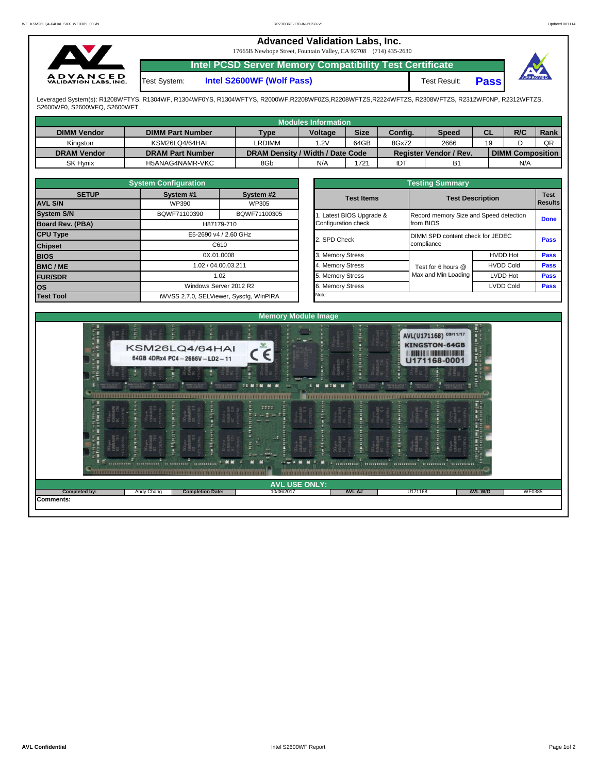## **Advanced Validation Labs, Inc.**

17665B Newhope Street, Fountain Valley, CA 92708 (714) 435-2630



**Intel PCSD Server Memory Compatibility Test Certificate**

Test System: **Intel S2600WF (Wolf Pass)** Test Result:

**Pass**

Leveraged System(s): R1208WFTYS, R1304WF, R1304WF0YS, R1304WFTYS, R2000WF,R2208WF0ZS,R2208WFTZS,R2224WFTZS, R2308WFTZS, R2312WF0NP, R2312WFTZS, S2600WF0, S2600WFQ, S2600WFT

|                    |                         |                                  | Modules Information |             |            |                               |           |                         |             |
|--------------------|-------------------------|----------------------------------|---------------------|-------------|------------|-------------------------------|-----------|-------------------------|-------------|
| <b>DIMM Vendor</b> | <b>DIMM Part Number</b> | <b>Type</b>                      | <b>Voltage</b>      | <b>Size</b> | Config.    | <b>Speed</b>                  | <b>CL</b> | R/C                     | <b>Rank</b> |
| Kinaston           | KSM26LQ4/64HAI          | LRDIMM                           | 1.2V                | 64GB        | 8Gx72      | 2666                          | 19        |                         | QR          |
| <b>DRAM Vendor</b> | <b>DRAM Part Number</b> | DRAM Density / Width / Date Code |                     |             |            | <b>Register Vendor / Rev.</b> |           | <b>DIMM Composition</b> |             |
| <b>SK Hynix</b>    | H5ANAG4NAMR-VKC         | 8Gb                              | N/A                 | '721        | <b>IDT</b> | B <sub>1</sub>                |           | N/A                     |             |

|                         | <b>System Configuration</b>   |                                         | <b>Testing Summary</b> |                                        |                         |                        |  |  |  |  |  |
|-------------------------|-------------------------------|-----------------------------------------|------------------------|----------------------------------------|-------------------------|------------------------|--|--|--|--|--|
| <b>SETUP</b>            | System #1                     | System #2                               | <b>Test Items</b>      |                                        | <b>Test Description</b> | <b>Test</b><br>Results |  |  |  |  |  |
| <b>AVL S/N</b>          | WP390                         | WP305                                   |                        |                                        |                         |                        |  |  |  |  |  |
| <b>System S/N</b>       | BQWF71100390                  | BQWF71100305                            | Latest BIOS Upgrade &  | Record memory Size and Speed detection |                         | <b>Done</b>            |  |  |  |  |  |
| <b>Board Rev. (PBA)</b> |                               | H87179-710                              | Configuration check    | from BIOS                              |                         |                        |  |  |  |  |  |
| <b>CPU Type</b>         | E5-2690 v4 / 2.60 GHz<br>C610 |                                         | 2. SPD Check           | DIMM SPD content check for JEDEC       | <b>Pass</b>             |                        |  |  |  |  |  |
| <b>Chipset</b>          |                               |                                         |                        | compliance                             |                         |                        |  |  |  |  |  |
| <b>BIOS</b>             | 0X.01.0008                    |                                         | 3. Memory Stress       |                                        | <b>HVDD Hot</b>         | <b>Pass</b>            |  |  |  |  |  |
| <b>BMC/ME</b>           |                               | 1.02 / 04.00.03.211                     | 4. Memory Stress       | Test for 6 hours @                     | <b>HVDD Cold</b>        | <b>Pass</b>            |  |  |  |  |  |
| <b>FUR/SDR</b>          |                               | 1.02                                    | 5. Memory Stress       | Max and Min Loading                    | LVDD Hot                | <b>Pass</b>            |  |  |  |  |  |
| los                     |                               | Windows Server 2012 R2                  | 6. Memory Stress       |                                        | LVDD Cold               | <b>Pass</b>            |  |  |  |  |  |
| <b>Test Tool</b>        |                               | iWVSS 2.7.0, SELViewer, Syscfq, WinPIRA | Note:                  |                                        |                         |                        |  |  |  |  |  |